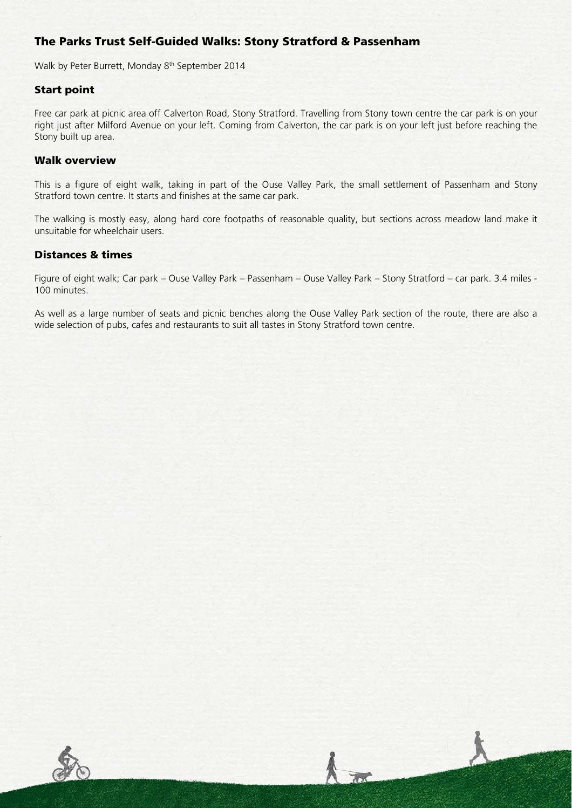# The Parks Trust Self-Guided Walks: Stony Stratford & Passenham

Walk by Peter Burrett, Monday 8<sup>th</sup> September 2014

## Start point

Free car park at picnic area off Calverton Road, Stony Stratford. Travelling from Stony town centre the car park is on your right just after Milford Avenue on your left. Coming from Calverton, the car park is on your left just before reaching the Stony built up area.

#### Walk overview

This is a figure of eight walk, taking in part of the Ouse Valley Park, the small settlement of Passenham and Stony Stratford town centre. It starts and finishes at the same car park.

The walking is mostly easy, along hard core footpaths of reasonable quality, but sections across meadow land make it unsuitable for wheelchair users.

## Distances & times

Figure of eight walk; Car park – Ouse Valley Park – Passenham – Ouse Valley Park – Stony Stratford – car park. 3.4 miles - 100 minutes.

As well as a large number of seats and picnic benches along the Ouse Valley Park section of the route, there are also a wide selection of pubs, cafes and restaurants to suit all tastes in Stony Stratford town centre.

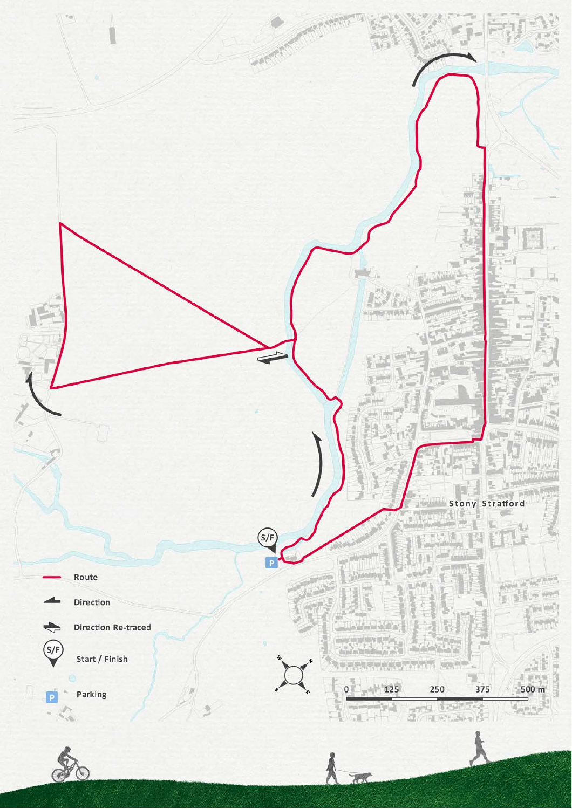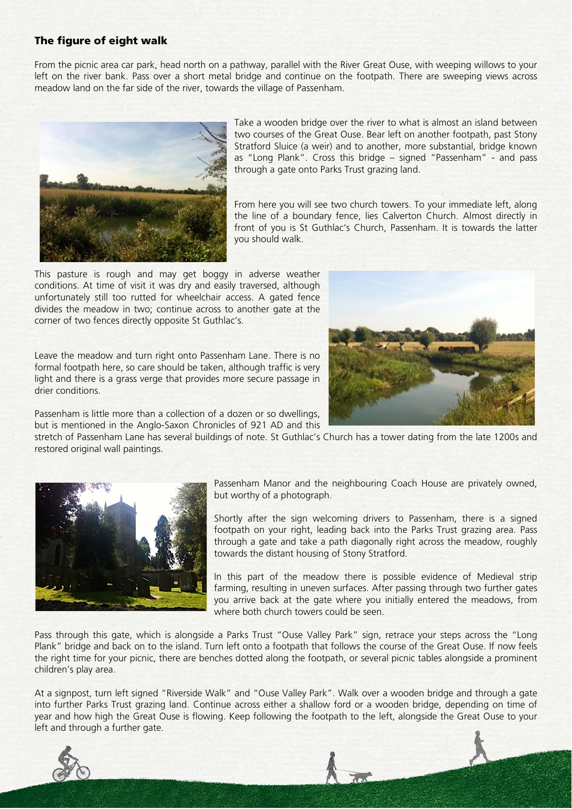# The figure of eight walk

From the picnic area car park, head north on a pathway, parallel with the River Great Ouse, with weeping willows to your left on the river bank. Pass over a short metal bridge and continue on the footpath. There are sweeping views across meadow land on the far side of the river, towards the village of Passenham.



Take a wooden bridge over the river to what is almost an island between two courses of the Great Ouse. Bear left on another footpath, past Stony Stratford Sluice (a weir) and to another, more substantial, bridge known as "Long Plank". Cross this bridge – signed "Passenham" - and pass through a gate onto Parks Trust grazing land.

From here you will see two church towers. To your immediate left, along the line of a boundary fence, lies Calverton Church. Almost directly in front of you is St Guthlac's Church, Passenham. It is towards the latter you should walk.

This pasture is rough and may get boggy in adverse weather conditions. At time of visit it was dry and easily traversed, although unfortunately still too rutted for wheelchair access. A gated fence divides the meadow in two; continue across to another gate at the corner of two fences directly opposite St Guthlac's.

Leave the meadow and turn right onto Passenham Lane. There is no formal footpath here, so care should be taken, although traffic is very light and there is a grass verge that provides more secure passage in drier conditions.



Passenham is little more than a collection of a dozen or so dwellings, but is mentioned in the Anglo-Saxon Chronicles of 921 AD and this

stretch of Passenham Lane has several buildings of note. St Guthlac's Church has a tower dating from the late 1200s and restored original wall paintings.



Passenham Manor and the neighbouring Coach House are privately owned, but worthy of a photograph.

Shortly after the sign welcoming drivers to Passenham, there is a signed footpath on your right, leading back into the Parks Trust grazing area. Pass through a gate and take a path diagonally right across the meadow, roughly towards the distant housing of Stony Stratford.

In this part of the meadow there is possible evidence of Medieval strip farming, resulting in uneven surfaces. After passing through two further gates you arrive back at the gate where you initially entered the meadows, from where both church towers could be seen.

Pass through this gate, which is alongside a Parks Trust "Ouse Valley Park" sign, retrace your steps across the "Long Plank" bridge and back on to the island. Turn left onto a footpath that follows the course of the Great Ouse. If now feels the right time for your picnic, there are benches dotted along the footpath, or several picnic tables alongside a prominent children's play area.

At a signpost, turn left signed "Riverside Walk" and "Ouse Valley Park". Walk over a wooden bridge and through a gate into further Parks Trust grazing land. Continue across either a shallow ford or a wooden bridge, depending on time of year and how high the Great Ouse is flowing. Keep following the footpath to the left, alongside the Great Ouse to your left and through a further gate.